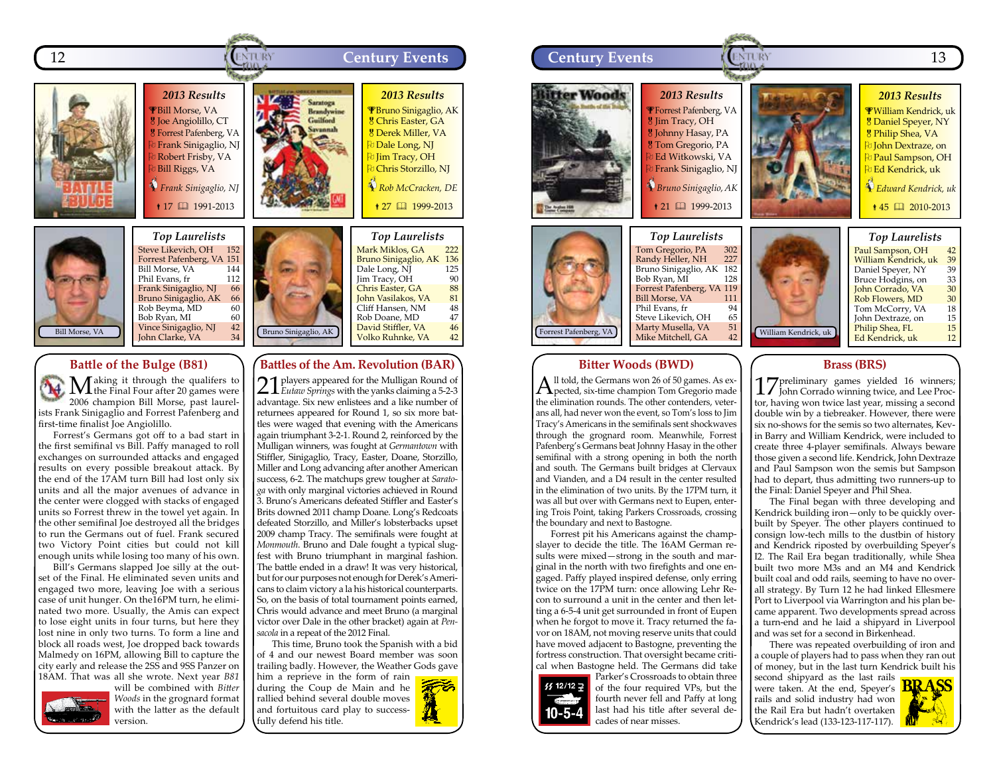



## **Battle of the Bulge (B81)**

**M**aking it through the qualifers to the Final Four after 20 games were 2006 champion Bill Morse, past laurelists Frank Sinigaglio and Forrest Pafenberg and first-time finalist Joe Angiolillo.

Forrest's Germans got off to a bad start in the first semifinal vs Bill. Paffy managed to roll exchanges on surrounded attacks and engaged results on every possible breakout attack. By the end of the 17AM turn Bill had lost only six units and all the major avenues of advance in the center were clogged with stacks of engaged units so Forrest threw in the towel yet again. In the other semifinal Joe destroyed all the bridges to run the Germans out of fuel. Frank secured two Victory Point cities but could not kill enough units while losing too many of his own.

Bill's Germans slapped Joe silly at the outset of the Final. He eliminated seven units and engaged two more, leaving Joe with a serious case of unit hunger. On the16PM turn, he eliminated two more. Usually, the Amis can expect to lose eight units in four turns, but here they lost nine in only two turns. To form a line and block all roads west, Joe dropped back towards Malmedy on 16PM, allowing Bill to capture the city early and release the 2SS and 9SS Panzer on 18AM. That was all she wrote. Next year *B81*



will be combined with *Bitter Woods* in the grognard format with the latter as the default version.

Bruno Sinigaglio, AK Bruno Sinigaglio, AK 136<br>Dale Long, NI 125 Dale Long, NJ 125<br>Iim Tracy. OH 90 Jim Tracy, OH 90<br>Chris Easter, GA 88 **Chris Easter, GA** 88<br> **Iohn Vasilakos, VA** 81 <mark>John Vasilakos, VA 81</mark><br>Cliff Hansen, NM 48 en<br>Cliff Hansen, NM 48<br>Rob Doane, MD 47 Rob Doane, MD 47 David Stiffler, VA 46<br>Volko Ruhnke, VA 42 Volko Ruhnke, VA

## **Battles of the Am. Revolution (BAR)**

21 players appeared for the Mulligan Round of *Eutaw Springs* with the yanks claiming a 5-2-3 advantage. Six new enlistees and a like number of returnees appeared for Round 1, so six more battles were waged that evening with the Americans again triumphant 3-2-1. Round 2, reinforced by the Mulligan winners, was fought at *Germantown* with Stiffler, Sinigaglio, Tracy, Easter, Doane, Storzillo, Miller and Long advancing after another American success, 6-2. The matchups grew tougher at *Saratoga* with only marginal victories achieved in Round 3. Bruno's Americans defeated Stiffler and Easter's Brits downed 2011 champ Doane. Long's Redcoats defeated Storzillo, and Miller's lobsterbacks upset 2009 champ Tracy. The semifinals were fought at *Monmouth*. Bruno and Dale fought a typical slugfest with Bruno triumphant in marginal fashion. The battle ended in a draw! It was very historical, but for our purposes not enough for Derek's Americans to claim victory a la his historical counterparts. So, on the basis of total tournament points earned, Chris would advance and meet Bruno (a marginal victor over Dale in the other bracket) again at *Pensacola* in a repeat of the 2012 Final.

This time, Bruno took the Spanish with a bid of 4 and our newest Board member was soon trailing badly. However, the Weather Gods gave

him a reprieve in the form of rain during the Coup de Main and he rallied behind several double moves and fortuitous card play to successfully defend his title.





## **Bitter Woods (BWD)**

 $A<sup>ll</sup>$  told, the Germans won 26 of 50 games. As expected, six-time champion Tom Gregorio made the elimination rounds. The other contenders, veterans all, had never won the event, so Tom's loss to Jim Tracy's Americans in the semifinals sent shockwaves through the grognard room. Meanwhile, Forrest Pafenberg's Germans beat Johnny Hasay in the other semifinal with a strong opening in both the north and south. The Germans built bridges at Clervaux and Vianden, and a D4 result in the center resulted in the elimination of two units. By the 17PM turn, it was all but over with Germans next to Eupen, entering Trois Point, taking Parkers Crossroads, crossing the boundary and next to Bastogne.

Forrest pit his Americans against the champslayer to decide the title. The 16AM German results were mixed—strong in the south and marginal in the north with two firefights and one engaged. Paffy played inspired defense, only erring twice on the 17PM turn: once allowing Lehr Recon to surround a unit in the center and then letting a 6-5-4 unit get surrounded in front of Eupen when he forgot to move it. Tracy returned the favor on 18AM, not moving reserve units that could have moved adjacent to Bastogne, preventing the fortress construction. That oversight became critical when Bastogne held. The Germans did take



of the four required VPs, but the fourth never fell and Paffy at long last had his title after several decades of near misses.

Parker's Crossroads to obtain three

# **Brass (BRS)**

17 preliminary games yielded 16 winners; John Corrado winning twice, and Lee Proctor, having won twice last year, missing a second double win by a tiebreaker. However, there were six no-shows for the semis so two alternates, Kevin Barry and William Kendrick, were included to create three 4-player semifinals. Always beware those given a second life. Kendrick, John Dextraze and Paul Sampson won the semis but Sampson had to depart, thus admitting two runners-up to the Final: Daniel Speyer and Phil Shea.

The Final began with three developing and Kendrick building iron—only to be quickly overbuilt by Speyer. The other players continued to consign low-tech mills to the dustbin of history and Kendrick riposted by overbuilding Speyer's I2. The Rail Era began traditionally, while Shea built two more M3s and an M4 and Kendrick built coal and odd rails, seeming to have no overall strategy. By Turn 12 he had linked Ellesmere Port to Liverpool via Warrington and his plan became apparent. Two developments spread across a turn-end and he laid a shipyard in Liverpool and was set for a second in Birkenhead.

There was repeated overbuilding of iron and a couple of players had to pass when they ran out of money, but in the last turn Kendrick built his

second shipyard as the last rails were taken. At the end, Speyer's  $\frac{\text{BRASS}}{\text{BRASS}}$ rails and solid industry had won the Rail Era but hadn't overtaken Kendrick's lead (133-123-117-117).

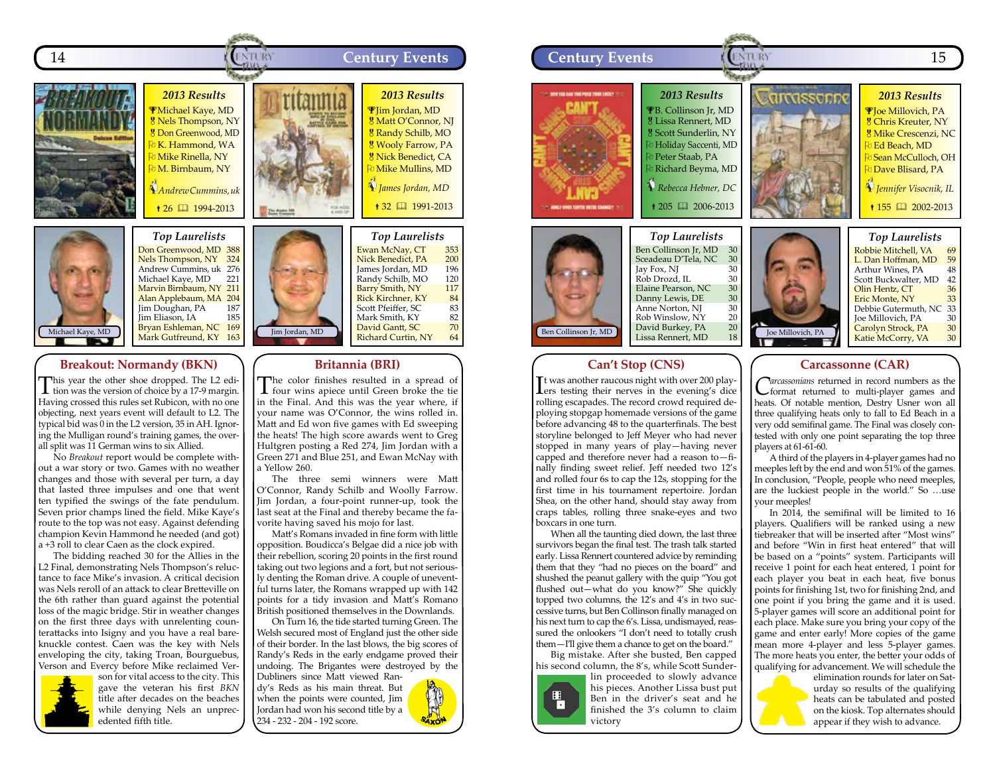



*Top Laurelists* Don Greenwood, MD 388 Nels Thompson, NY 324 Andrew Cummins, uk 276<br>Michael Kave, MD 221 Michael Kaye, MD Marvin Birnbaum, NY 211 Alan Applebaum, MA 204<br>Jim Doughan, PA 187 Jim Doughan, PA 187 Jim Eliason, IA .<br>Bryan Eshleman, NC 169<br>Mark Gutfreund, KY 163 Mark Gutfreund, KY

### **Breakout: Normandy (BKN)**

This year the other shoe dropped. The L2 edition was the version of choice by a 17-9 margin. Having crossed this rules set Rubicon, with no one objecting, next years event will default to L2. The typical bid was 0 in the L2 version, 35 in AH. Ignoring the Mulligan round's training games, the overall split was 11 German wins to six Allied.

No *Breakout* report would be complete without a war story or two. Games with no weather changes and those with several per turn, a day that lasted three impulses and one that went ten typified the swings of the fate pendulum. Seven prior champs lined the field. Mike Kaye's route to the top was not easy. Against defending champion Kevin Hammond he needed (and got) a +3 roll to clear Caen as the clock expired.

The bidding reached 30 for the Allies in the L2 Final, demonstrating Nels Thompson's reluctance to face Mike's invasion. A critical decision was Nels reroll of an attack to clear Bretteville on the 6th rather than guard against the potential loss of the magic bridge. Stir in weather changes on the first three days with unrelenting counterattacks into Isigny and you have a real bareknuckle contest. Caen was the key with Nels enveloping the city, taking Troan, Bourguebus, Verson and Evercy before Mike reclaimed Ver-



son for vital access to the city. This gave the veteran his first *BKN* title after decades on the beaches while denying Nels an unprecedented fifth title.



The color finishes resulted in a spread of four wins apiece until Green broke the tie in the Final. And this was the year where, if your name was O'Connor, the wins rolled in. Matt and Ed won five games with Ed sweeping the heats! The high score awards went to Greg Hultgren posting a Red 274, Jim Jordan with a Green 271 and Blue 251, and Ewan McNay with a Yellow 260.

**Britannia (BRI)**

The three semi winners were Matt O'Connor, Randy Schilb and Woolly Farrow. Jim Jordan, a four-point runner-up, took the last seat at the Final and thereby became the favorite having saved his mojo for last.

Matt's Romans invaded in fine form with little opposition. Boudicca's Belgae did a nice job with their rebellion, scoring 20 points in the first round taking out two legions and a fort, but not seriously denting the Roman drive. A couple of uneventful turns later, the Romans wrapped up with 142 points for a tidy invasion and Matt's Romano British positioned themselves in the Downlands.

On Turn 16, the tide started turning Green. The Welsh secured most of England just the other side of their border. In the last blows, the big scores of Randy's Reds in the early endgame proved their undoing. The Brigantes were destroyed by the Dubliners since Matt viewed Ran-

dy's Reds as his main threat. But when the points were counted, Jim Jordan had won his second title by a 234 - 232 - 204 - 192 score.





# **Can't Stop (CNS)**

It was another raucous night with over 200 play-<br>Lers testing their nerves in the evening's dice It was another raucous night with over 200 playrolling escapades. The record crowd required deploying stopgap homemade versions of the game before advancing 48 to the quarterfinals. The best storyline belonged to Jeff Meyer who had never stopped in many years of play—having never capped and therefore never had a reason to—finally finding sweet relief. Jeff needed two 12's and rolled four 6s to cap the 12s, stopping for the first time in his tournament repertoire. Jordan Shea, on the other hand, should stay away from craps tables, rolling three snake-eyes and two boxcars in one turn.

When all the taunting died down, the last three survivors began the final test. The trash talk started early. Lissa Rennert countered advice by reminding them that they "had no pieces on the board" and shushed the peanut gallery with the quip "You got flushed out—what do you know?" She quickly topped two columns, the 12's and 4's in two successive turns, but Ben Collinson finally managed on his next turn to cap the 6's. Lissa, undismayed, reassured the onlookers "I don't need to totally crush them—I'll give them a chance to get on the board."

Big mistake. After she busted, Ben capped his second column, the 8's, while Scott Sunder-



lin proceeded to slowly advance his pieces. Another Lissa bust put Ben in the driver's seat and he finished the 3's column to claim victory

## **Carcassonne (CAR)**

*Carcassonians* returned in record numbers as the format returned to multi-player games and heats. Of notable mention, Destry Usner won all three qualifying heats only to fall to Ed Beach in a very odd semifinal game. The Final was closely contested with only one point separating the top three players at 61-61-60.

A third of the players in 4-player games had no meeples left by the end and won 51% of the games. In conclusion, "People, people who need meeples, are the luckiest people in the world." So …use your meeples!

In 2014, the semifinal will be limited to 16 players. Qualifiers will be ranked using a new tiebreaker that will be inserted after "Most wins" and before "Win in first heat entered" that will be based on a "points" system. Participants will receive 1 point for each heat entered, 1 point for each player you beat in each heat, five bonus points for finishing 1st, two for finishing 2nd, and one point if you bring the game and it is used. 5-player games will score an additional point for each place. Make sure you bring your copy of the game and enter early! More copies of the game mean more 4-player and less 5-player games. The more heats you enter, the better your odds of qualifying for advancement. We will schedule the

elimination rounds for later on Saturday so results of the qualifying heats can be tabulated and posted on the kiosk. Top alternates should appear if they wish to advance.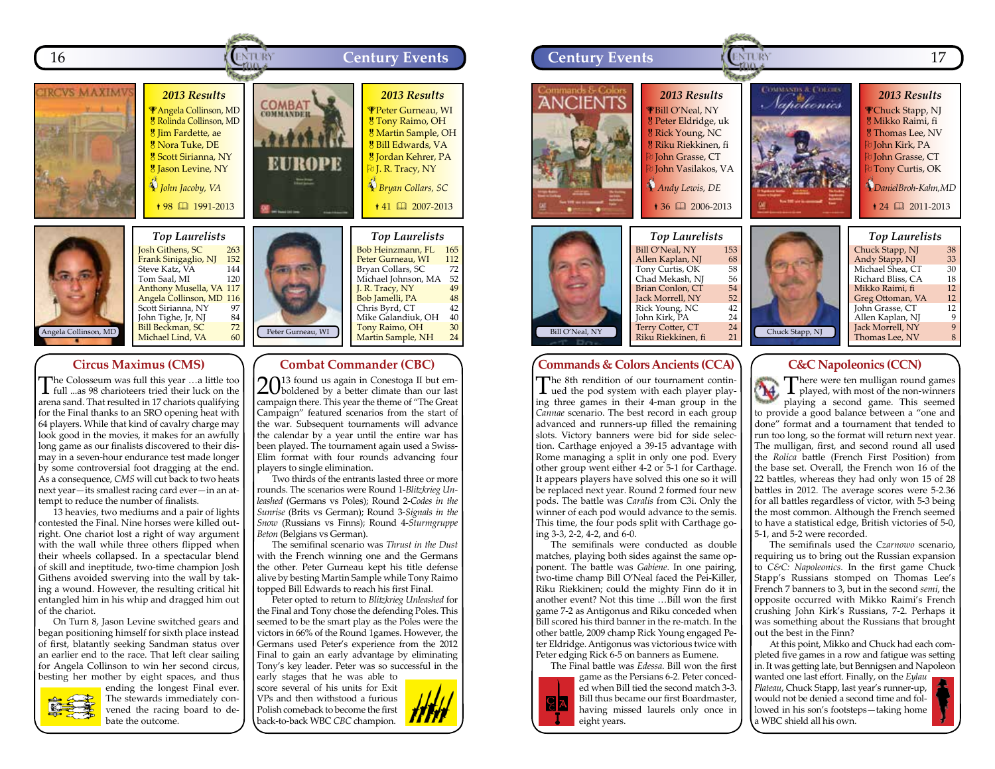



## **Circus Maximus (CMS)**

**Frank Sinigaglio, NJ** 152<br>Steve Katz, VA 144 Steve Katz, VA 144<br>Tom Saal, MI 120 Tom Saal, MI

Anthony Musella, VA 117 Angela Collinson, MD 116 Scott Sirianna, NY 97<br>John Tighe, Jr, NJ 84<br>Bill Beckman, SC 72 John Tighe, Jr, NJ 11 Beckman, SC 72<br>Michael Lind, VA 60

The Colosseum was full this year …a little too full ...as 98 charioteers tried their luck on the arena sand. That resulted in 17 chariots qualifying for the Final thanks to an SRO opening heat with 64 players. While that kind of cavalry charge may look good in the movies, it makes for an awfully long game as our finalists discovered to their dismay in a seven-hour endurance test made longer by some controversial foot dragging at the end. As a consequence, *CMS* will cut back to two heats next year—its smallest racing card ever—in an attempt to reduce the number of finalists.

13 heavies, two mediums and a pair of lights contested the Final. Nine horses were killed outright. One chariot lost a right of way argument with the wall while three others flipped when their wheels collapsed. In a spectacular blend of skill and ineptitude, two-time champion Josh Githens avoided swerving into the wall by taking a wound. However, the resulting critical hit entangled him in his whip and dragged him out of the chariot.

On Turn 8, Jason Levine switched gears and began positioning himself for sixth place instead of first, blatantly seeking Sandman status over an earlier end to the race. That left clear sailing for Angela Collinson to win her second circus, besting her mother by eight spaces, and thus



ending the longest Final ever. The stewards immediately convened the racing board to debate the outcome.



#### **Combat Commander (CBC)**

 $20^{13}$  found us again in Conestoga II but emcampaign there. This year the theme of "The Great Campaign" featured scenarios from the start of the war. Subsequent tournaments will advance the calendar by a year until the entire war has been played. The tournament again used a Swiss-Elim format with four rounds advancing four players to single elimination.

Two thirds of the entrants lasted three or more rounds. The scenarios were Round 1-*Blitzkrieg Unleashed* (Germans vs Poles); Round 2-*Codes in the Sunrise* (Brits vs German); Round 3-*Signals in the Snow* (Russians vs Finns); Round 4-*Sturmgruppe Beton* (Belgians vs German).

The semifinal scenario was *Thrust in the Dust*  with the French winning one and the Germans the other. Peter Gurneau kept his title defense alive by besting Martin Sample while Tony Raimo topped Bill Edwards to reach his first Final.

Peter opted to return to *Blitzkrieg Unleashed* for the Final and Tony chose the defending Poles. This seemed to be the smart play as the Poles were the victors in 66% of the Round 1games. However, the Germans used Peter's experience from the 2012 Final to gain an early advantage by eliminating Tony's key leader. Peter was so successful in the early stages that he was able to

score several of his units for Exit VPs and then withstood a furious Polish comeback to become the first back-to-back WBC *CBC* champion.





## **Commands & Colors Ancients (CCA)**

The 8th rendition of our tournament contin-ued the pod system with each player playing three games in their 4-man group in the *Cannae* scenario. The best record in each group advanced and runners-up filled the remaining slots. Victory banners were bid for side selection. Carthage enjoyed a 39-15 advantage with Rome managing a split in only one pod. Every other group went either 4-2 or 5-1 for Carthage. It appears players have solved this one so it will be replaced next year. Round 2 formed four new pods. The battle was *Caralis* from C3i. Only the winner of each pod would advance to the semis. This time, the four pods split with Carthage going 3-3, 2-2, 4-2, and 6-0.

The semifinals were conducted as double matches, playing both sides against the same opponent. The battle was *Gabiene*. In one pairing, two-time champ Bill O'Neal faced the Pei-Killer, Riku Riekkinen; could the mighty Finn do it in another event? Not this time …Bill won the first game 7-2 as Antigonus and Riku conceded when Bill scored his third banner in the re-match. In the other battle, 2009 champ Rick Young engaged Peter Eldridge. Antigonus was victorious twice with Peter edging Rick 6-5 on banners as Eumene. The Final battle was *Edessa*. Bill won the first

game as the Persians 6-2. Peter conceded when Bill tied the second match 3-3. Bill thus became our first Boardmaster,  $C$   $\overline{A}$ having missed laurels only once in eight years.

**C&C Napoleonics (CCN)**

There were ten mulligan round games<br>played, with most of the non-winners A. playing a second game. This seemed to provide a good balance between a "one and done" format and a tournament that tended to run too long, so the format will return next year. The mulligan, first, and second round all used the *Rolica* battle (French First Position) from the base set. Overall, the French won 16 of the 22 battles, whereas they had only won 15 of 28 battles in 2012. The average scores were 5-2.36 for all battles regardless of victor, with 5-3 being the most common. Although the French seemed to have a statistical edge, British victories of 5-0, 5-1, and 5-2 were recorded.

The semifinals used the *Czarnowo* scenario, requiring us to bring out the Russian expansion to *C&C: Napoleonics*. In the first game Chuck Stapp's Russians stomped on Thomas Lee's French 7 banners to 3, but in the second *semi*, the opposite occurred with Mikko Raimi's French crushing John Kirk's Russians, 7-2. Perhaps it was something about the Russians that brought out the best in the Finn?

At this point, Mikko and Chuck had each completed five games in a row and fatigue was setting in. It was getting late, but Bennigsen and Napoleon

wanted one last effort. Finally, on the *Eylau Plateau*, Chuck Stapp, last year's runner-up, would not be denied a second time and followed in his son's footsteps—taking home a WBC shield all his own.

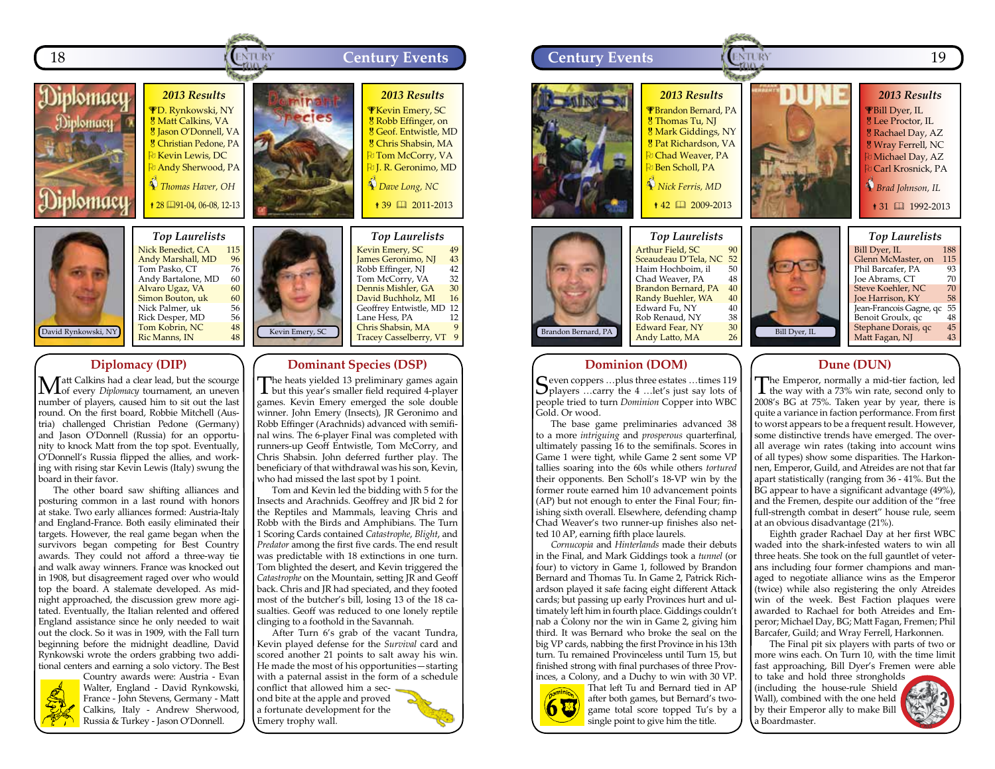

Andy Bartalone, MD 60<br>**Alvaro Ugaz, VA** 60 Alvaro Ugaz, VA 60<br>Simon Bouton, uk 60 **Simon Bouton, uk 60**<br>Nick Palmer, uk 56 Nick Palmer, uk 56<br>Rick Desper, MD 56<br>Tom Kobrin, NC 48 Rick Desper, MD Tom Kobrin, NC  $18$ <br>Ric Manns. IN  $18$ Ric Manns, IN

## **Diplomacy (DIP)**

**M**att Calkins had a clear lead, but the scourge of every *Diplomacy* tournament, an uneven number of players, caused him to sit out the last round. On the first board, Robbie Mitchell (Austria) challenged Christian Pedone (Germany) and Jason O'Donnell (Russia) for an opportunity to knock Matt from the top spot. Eventually, O'Donnell's Russia flipped the allies, and working with rising star Kevin Lewis (Italy) swung the board in their favor.

The other board saw shifting alliances and posturing common in a last round with honors at stake. Two early alliances formed: Austria-Italy and England-France. Both easily eliminated their targets. However, the real game began when the survivors began competing for Best Country awards. They could not afford a three-way tie and walk away winners. France was knocked out in 1908, but disagreement raged over who would top the board. A stalemate developed. As midnight approached, the discussion grew more agitated. Eventually, the Italian relented and offered England assistance since he only needed to wait out the clock. So it was in 1909, with the Fall turn beginning before the midnight deadline, David Rynkowski wrote the orders grabbing two additional centers and earning a solo victory. The Best



Country awards were: Austria - Evan Walter, England - David Rynkowski, France - John Stevens, Germany - Matt Calkins, Italy - Andrew Sherwood, Russia & Turkey - Jason O'Donnell.



The heats yielded 13 preliminary games again **L** but this year's smaller field required 4-player games. Kevin Emery emerged the sole double winner. John Emery (Insects), JR Geronimo and Robb Effinger (Arachnids) advanced with semifinal wins. The 6-player Final was completed with runners-up Geoff Entwistle, Tom McCorry, and Chris Shabsin. John deferred further play. The beneficiary of that withdrawal was his son, Kevin, who had missed the last spot by 1 point.

Dennis Mishler, GA 30<br>David Buchholz, MI 16 David Buchholz, MI 16<br>Geoffrey Entwistle, MD 12 Geoffrey Entwistle, MD 12<br>Lane Hess, PA 12 Lane Hess, PA

Chris Shabsin, MA 9<br>Tracey Casselberry. VT 9 Tracey Casselberry, VT 9

Tom and Kevin led the bidding with 5 for the Insects and Arachnids. Geoffrey and JR bid 2 for the Reptiles and Mammals, leaving Chris and Robb with the Birds and Amphibians. The Turn 1 Scoring Cards contained *Catastrophe*, *Blight*, and *Predator* among the first five cards. The end result was predictable with 18 extinctions in one turn. Tom blighted the desert, and Kevin triggered the *Catastrophe* on the Mountain, setting JR and Geoff back. Chris and IR had speciated, and they footed most of the butcher's bill, losing 13 of the 18 casualties. Geoff was reduced to one lonely reptile clinging to a foothold in the Savannah.

After Turn 6's grab of the vacant Tundra, Kevin played defense for the *Survival* card and scored another 21 points to salt away his win. He made the most of his opportunities—starting with a paternal assist in the form of a schedule conflict that allowed him a second bite at the apple and proved

a fortunate development for the Emery trophy wall.



## **Dominion (DOM)**

Ceven coppers ...plus three estates ...times 119  $\sum$  players ...carry the 4 ... let's just say lots of people tried to turn *Dominion* Copper into WBC Gold. Or wood.

The base game preliminaries advanced 38 to a more *intriguing* and *prosperous* quarterfinal, ultimately passing 16 to the semifinals. Scores in Game 1 were tight, while Game 2 sent some VP tallies soaring into the 60s while others *tortured* their opponents. Ben Scholl's 18-VP win by the former route earned him 10 advancement points (AP) but not enough to enter the Final Four; finishing sixth overall. Elsewhere, defending champ Chad Weaver's two runner-up finishes also netted 10 AP, earning fifth place laurels.

*Cornucopia* and *Hinterlands* made their debuts in the Final, and Mark Giddings took a *tunnel* (or four) to victory in Game 1, followed by Brandon Bernard and Thomas Tu. In Game 2, Patrick Richardson played it safe facing eight different Attack cards; but passing up early Provinces hurt and ultimately left him in fourth place. Giddings couldn't nab a Colony nor the win in Game 2, giving him third. It was Bernard who broke the seal on the big VP cards, nabbing the first Province in his 13th turn. Tu remained Provinceless until Turn 15, but finished strong with final purchases of three Provinces, a Colony, and a Duchy to win with 30 VP.



That left Tu and Bernard tied in AP after both games, but Bernard's twogame total score topped Tu's by a single point to give him the title.

#### **Dune (DUN)**

The Emperor, normally a mid-tier faction, led<br>the way with a 73% win rate, second only to 2008's BG at 75%. Taken year by year, there is quite a variance in faction performance. From first to worst appears to be a frequent result. However, some distinctive trends have emerged. The overall average win rates (taking into account wins of all types) show some disparities. The Harkonnen, Emperor, Guild, and Atreides are not that far apart statistically (ranging from 36 - 41%. But the BG appear to have a significant advantage (49%), and the Fremen, despite our addition of the "free full-strength combat in desert" house rule, seem at an obvious disadvantage (21%).

Eighth grader Rachael Day at her first WBC waded into the shark-infested waters to win all three heats. She took on the full gauntlet of veterans including four former champions and managed to negotiate alliance wins as the Emperor (twice) while also registering the only Atreides win of the week. Best Faction plaques were awarded to Rachael for both Atreides and Emperor; Michael Day, BG; Matt Fagan, Fremen; Phil Barcafer, Guild; and Wray Ferrell, Harkonnen.

The Final pit six players with parts of two or more wins each. On Turn 10, with the time limit fast approaching, Bill Dyer's Fremen were able

to take and hold three strongholds (including the house-rule Shield Wall), combined with the one held by their Emperor ally to make Bill a Boardmaster.